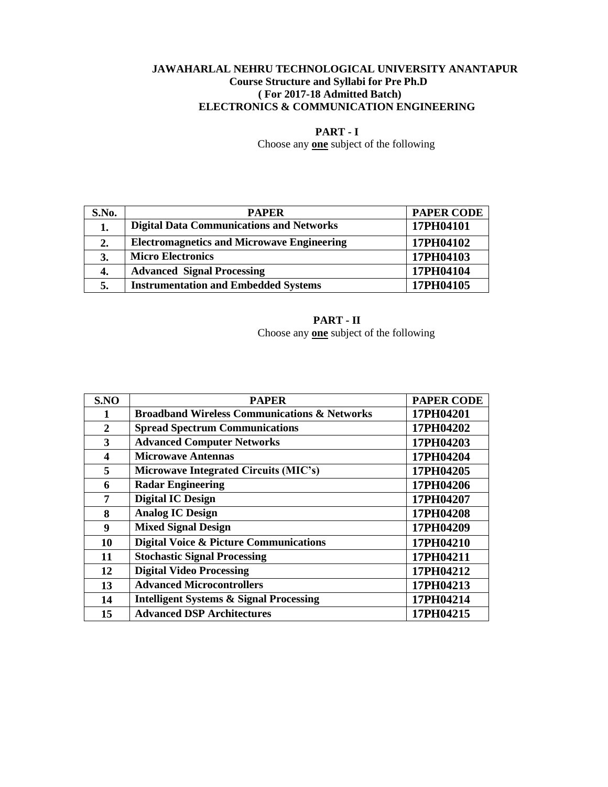### **JAWAHARLAL NEHRU TECHNOLOGICAL UNIVERSITY ANANTAPUR Course Structure and Syllabi for Pre Ph.D ( For 2017-18 Admitted Batch) ELECTRONICS & COMMUNICATION ENGINEERING**

**PART - I**

Choose any **one** subject of the following

| S.No. | <b>PAPER</b>                                      | <b>PAPER CODE</b> |
|-------|---------------------------------------------------|-------------------|
| 1.    | <b>Digital Data Communications and Networks</b>   | 17PH04101         |
| 2.    | <b>Electromagnetics and Microwave Engineering</b> | 17PH04102         |
| 3.    | <b>Micro Electronics</b>                          | 17PH04103         |
| 4.    | <b>Advanced Signal Processing</b>                 | 17PH04104         |
| 5.    | <b>Instrumentation and Embedded Systems</b>       | 17PH04105         |

# **PART - II** Choose any **one** subject of the following

| S.NO             | <b>PAPER</b>                                            | <b>PAPER CODE</b> |
|------------------|---------------------------------------------------------|-------------------|
| 1                | <b>Broadband Wireless Communications &amp; Networks</b> | 17PH04201         |
| $\overline{2}$   | <b>Spread Spectrum Communications</b>                   | 17PH04202         |
| 3                | <b>Advanced Computer Networks</b>                       | 17PH04203         |
| $\boldsymbol{4}$ | <b>Microwave Antennas</b>                               | 17PH04204         |
| 5                | Microwave Integrated Circuits (MIC's)                   | 17PH04205         |
| 6                | <b>Radar Engineering</b>                                | 17PH04206         |
| 7                | <b>Digital IC Design</b>                                | 17PH04207         |
| 8                | <b>Analog IC Design</b>                                 | 17PH04208         |
| 9                | <b>Mixed Signal Design</b>                              | 17PH04209         |
| 10               | <b>Digital Voice &amp; Picture Communications</b>       | 17PH04210         |
| 11               | <b>Stochastic Signal Processing</b>                     | 17PH04211         |
| 12               | <b>Digital Video Processing</b>                         | 17PH04212         |
| 13               | <b>Advanced Microcontrollers</b>                        | 17PH04213         |
| 14               | <b>Intelligent Systems &amp; Signal Processing</b>      | 17PH04214         |
| 15               | <b>Advanced DSP Architectures</b>                       | 17PH04215         |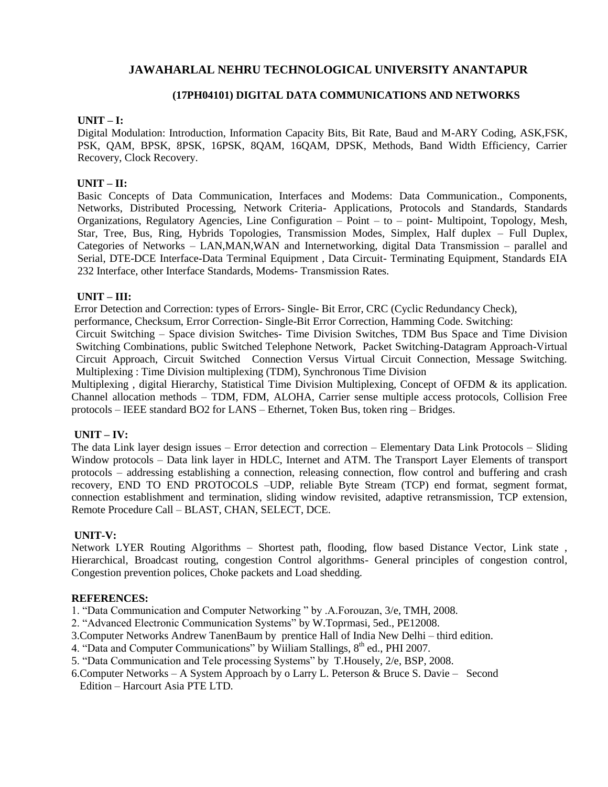# **(17PH04101) DIGITAL DATA COMMUNICATIONS AND NETWORKS**

### **UNIT – I:**

Digital Modulation: Introduction, Information Capacity Bits, Bit Rate, Baud and M-ARY Coding, ASK,FSK, PSK, QAM, BPSK, 8PSK, 16PSK, 8QAM, 16QAM, DPSK, Methods, Band Width Efficiency, Carrier Recovery, Clock Recovery.

# **UNIT – II:**

Basic Concepts of Data Communication, Interfaces and Modems: Data Communication., Components, Networks, Distributed Processing, Network Criteria- Applications, Protocols and Standards, Standards Organizations, Regulatory Agencies, Line Configuration – Point – to – point- Multipoint, Topology, Mesh, Star, Tree, Bus, Ring, Hybrids Topologies, Transmission Modes, Simplex, Half duplex – Full Duplex, Categories of Networks – LAN,MAN,WAN and Internetworking, digital Data Transmission – parallel and Serial, DTE-DCE Interface-Data Terminal Equipment , Data Circuit- Terminating Equipment, Standards EIA 232 Interface, other Interface Standards, Modems- Transmission Rates.

### **UNIT – III:**

Error Detection and Correction: types of Errors- Single- Bit Error, CRC (Cyclic Redundancy Check),

performance, Checksum, Error Correction- Single-Bit Error Correction, Hamming Code. Switching:

Circuit Switching – Space division Switches- Time Division Switches, TDM Bus Space and Time Division Switching Combinations, public Switched Telephone Network, Packet Switching-Datagram Approach-Virtual Circuit Approach, Circuit Switched Connection Versus Virtual Circuit Connection, Message Switching. Multiplexing : Time Division multiplexing (TDM), Synchronous Time Division

Multiplexing , digital Hierarchy, Statistical Time Division Multiplexing, Concept of OFDM & its application. Channel allocation methods – TDM, FDM, ALOHA, Carrier sense multiple access protocols, Collision Free protocols – IEEE standard BO2 for LANS – Ethernet, Token Bus, token ring – Bridges.

# **UNIT – IV:**

The data Link layer design issues – Error detection and correction – Elementary Data Link Protocols – Sliding Window protocols – Data link layer in HDLC, Internet and ATM. The Transport Layer Elements of transport protocols – addressing establishing a connection, releasing connection, flow control and buffering and crash recovery, END TO END PROTOCOLS –UDP, reliable Byte Stream (TCP) end format, segment format, connection establishment and termination, sliding window revisited, adaptive retransmission, TCP extension, Remote Procedure Call – BLAST, CHAN, SELECT, DCE.

### **UNIT-V:**

Network LYER Routing Algorithms – Shortest path, flooding, flow based Distance Vector, Link state , Hierarchical, Broadcast routing, congestion Control algorithms- General principles of congestion control, Congestion prevention polices, Choke packets and Load shedding.

### **REFERENCES:**

1. "Data Communication and Computer Networking " by .A.Forouzan, 3/e, TMH, 2008.

- 2. "Advanced Electronic Communication Systems" by W.Toprmasi, 5ed., PE12008.
- 3.Computer Networks Andrew TanenBaum by prentice Hall of India New Delhi third edition.
- 4. "Data and Computer Communications" by Wiiliam Stallings, 8<sup>th</sup> ed., PHI 2007.
- 5. "Data Communication and Tele processing Systems" by T.Housely, 2/e, BSP, 2008.
- 6.Computer Networks A System Approach by o Larry L. Peterson & Bruce S. Davie Second Edition – Harcourt Asia PTE LTD.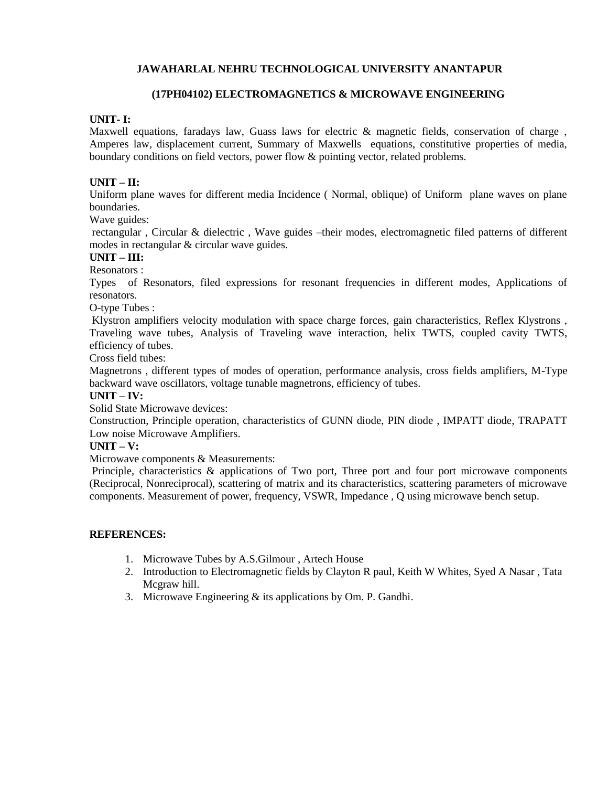# **(17PH04102) ELECTROMAGNETICS & MICROWAVE ENGINEERING**

#### **UNIT- I:**

Maxwell equations, faradays law, Guass laws for electric & magnetic fields, conservation of charge , Amperes law, displacement current, Summary of Maxwells equations, constitutive properties of media, boundary conditions on field vectors, power flow & pointing vector, related problems.

# **UNIT – II:**

Uniform plane waves for different media Incidence ( Normal, oblique) of Uniform plane waves on plane boundaries.

Wave guides:

rectangular , Circular & dielectric , Wave guides –their modes, electromagnetic filed patterns of different modes in rectangular & circular wave guides.

#### **UNIT – III:**

#### Resonators :

Types of Resonators, filed expressions for resonant frequencies in different modes, Applications of resonators.

O-type Tubes :

Klystron amplifiers velocity modulation with space charge forces, gain characteristics, Reflex Klystrons , Traveling wave tubes, Analysis of Traveling wave interaction, helix TWTS, coupled cavity TWTS, efficiency of tubes.

Cross field tubes:

Magnetrons , different types of modes of operation, performance analysis, cross fields amplifiers, M-Type backward wave oscillators, voltage tunable magnetrons, efficiency of tubes.

#### **UNIT – IV:**

Solid State Microwave devices:

Construction, Principle operation, characteristics of GUNN diode, PIN diode , IMPATT diode, TRAPATT Low noise Microwave Amplifiers.

#### **UNIT – V:**

Microwave components & Measurements:

Principle, characteristics & applications of Two port, Three port and four port microwave components (Reciprocal, Nonreciprocal), scattering of matrix and its characteristics, scattering parameters of microwave components. Measurement of power, frequency, VSWR, Impedance , Q using microwave bench setup.

- 1. Microwave Tubes by A.S.Gilmour , Artech House
- 2. Introduction to Electromagnetic fields by Clayton R paul, Keith W Whites, Syed A Nasar , Tata Mcgraw hill.
- 3. Microwave Engineering & its applications by Om. P. Gandhi.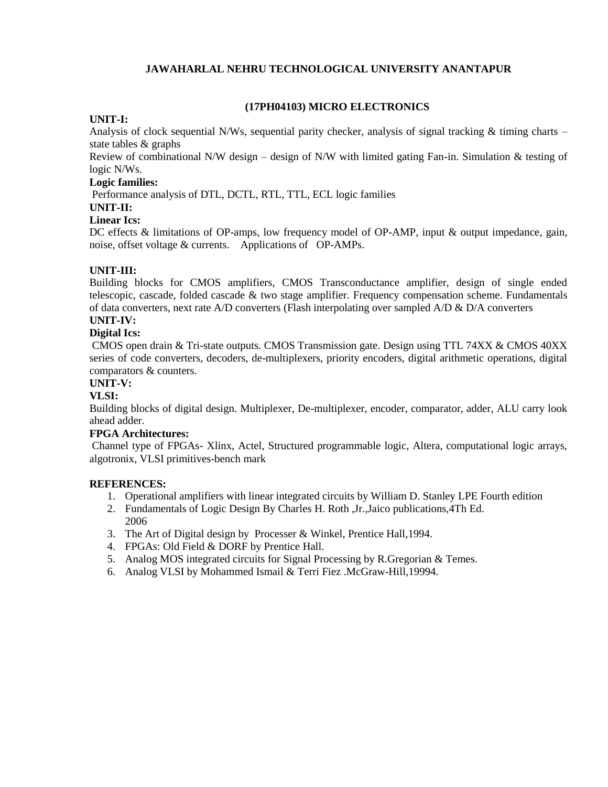# **(17PH04103) MICRO ELECTRONICS**

#### **UNIT-I:**

Analysis of clock sequential N/Ws, sequential parity checker, analysis of signal tracking  $\&$  timing charts – state tables & graphs

Review of combinational N/W design – design of N/W with limited gating Fan-in. Simulation & testing of logic N/Ws.

#### **Logic families:**

Performance analysis of DTL, DCTL, RTL, TTL, ECL logic families

### **UNIT-II:**

# **Linear Ics:**

DC effects & limitations of OP-amps, low frequency model of OP-AMP, input & output impedance, gain, noise, offset voltage & currents. Applications of OP-AMPs.

# **UNIT-III:**

Building blocks for CMOS amplifiers, CMOS Transconductance amplifier, design of single ended telescopic, cascade, folded cascade & two stage amplifier. Frequency compensation scheme. Fundamentals of data converters, next rate  $A/D$  converters (Flash interpolating over sampled  $A/D \& D/A$  converters

# **UNIT-IV:**

# **Digital Ics:**

CMOS open drain & Tri-state outputs. CMOS Transmission gate. Design using TTL 74XX & CMOS 40XX series of code converters, decoders, de-multiplexers, priority encoders, digital arithmetic operations, digital comparators & counters.

# **UNIT-V:**

### **VLSI:**

Building blocks of digital design. Multiplexer, De-multiplexer, encoder, comparator, adder, ALU carry look ahead adder.

# **FPGA Architectures:**

Channel type of FPGAs- Xlinx, Actel, Structured programmable logic, Altera, computational logic arrays, algotronix, VLSI primitives-bench mark

- 1. Operational amplifiers with linear integrated circuits by William D. Stanley LPE Fourth edition
- 2. Fundamentals of Logic Design By Charles H. Roth ,Jr.,Jaico publications,4Th Ed. 2006
- 3. The Art of Digital design by Processer & Winkel, Prentice Hall,1994.
- 4. FPGAs: Old Field & DORF by Prentice Hall.
- 5. Analog MOS integrated circuits for Signal Processing by R.Gregorian & Temes.
- 6. Analog VLSI by Mohammed Ismail & Terri Fiez .McGraw-Hill,19994.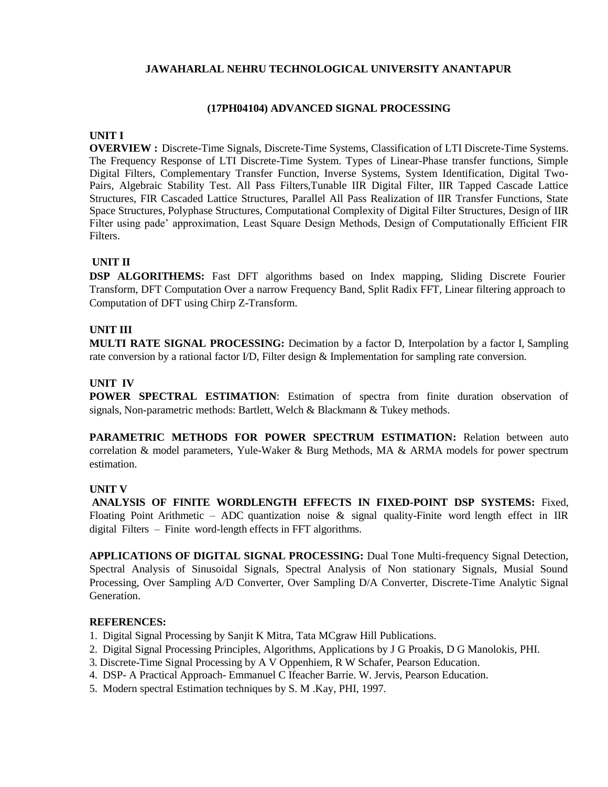### **(17PH04104) ADVANCED SIGNAL PROCESSING**

#### **UNIT I**

**OVERVIEW :** Discrete-Time Signals, Discrete-Time Systems, Classification of LTI Discrete-Time Systems. The Frequency Response of LTI Discrete-Time System. Types of Linear-Phase transfer functions, Simple Digital Filters, Complementary Transfer Function, Inverse Systems, System Identification, Digital Two-Pairs, Algebraic Stability Test. All Pass Filters,Tunable IIR Digital Filter, IIR Tapped Cascade Lattice Structures, FIR Cascaded Lattice Structures, Parallel All Pass Realization of IIR Transfer Functions, State Space Structures, Polyphase Structures, Computational Complexity of Digital Filter Structures, Design of IIR Filter using pade' approximation, Least Square Design Methods, Design of Computationally Efficient FIR Filters.

# **UNIT II**

**DSP ALGORITHEMS:** Fast DFT algorithms based on Index mapping, Sliding Discrete Fourier Transform, DFT Computation Over a narrow Frequency Band, Split Radix FFT, Linear filtering approach to Computation of DFT using Chirp Z-Transform.

# **UNIT III**

**MULTI RATE SIGNAL PROCESSING:** Decimation by a factor D, Interpolation by a factor I, Sampling rate conversion by a rational factor I/D, Filter design & Implementation for sampling rate conversion.

# **UNIT IV**

**POWER SPECTRAL ESTIMATION**: Estimation of spectra from finite duration observation of signals, Non-parametric methods: Bartlett, Welch & Blackmann & Tukey methods.

**PARAMETRIC METHODS FOR POWER SPECTRUM ESTIMATION:** Relation between auto correlation & model parameters, Yule-Waker & Burg Methods, MA & ARMA models for power spectrum estimation.

### **UNIT V**

**ANALYSIS OF FINITE WORDLENGTH EFFECTS IN FIXED-POINT DSP SYSTEMS:** Fixed, Floating Point Arithmetic – ADC quantization noise  $\&$  signal quality-Finite word length effect in IIR digital Filters – Finite word-length effects in FFT algorithms.

**APPLICATIONS OF DIGITAL SIGNAL PROCESSING:** Dual Tone Multi-frequency Signal Detection, Spectral Analysis of Sinusoidal Signals, Spectral Analysis of Non stationary Signals, Musial Sound Processing, Over Sampling A/D Converter, Over Sampling D/A Converter, Discrete-Time Analytic Signal Generation.

- 1. Digital Signal Processing by Sanjit K Mitra, Tata MCgraw Hill Publications.
- 2. Digital Signal Processing Principles, Algorithms, Applications by J G Proakis, D G Manolokis, PHI.
- 3. Discrete-Time Signal Processing by A V Oppenhiem, R W Schafer, Pearson Education.
- 4. DSP- A Practical Approach- Emmanuel C Ifeacher Barrie. W. Jervis, Pearson Education.
- 5. Modern spectral Estimation techniques by S. M .Kay, PHI, 1997.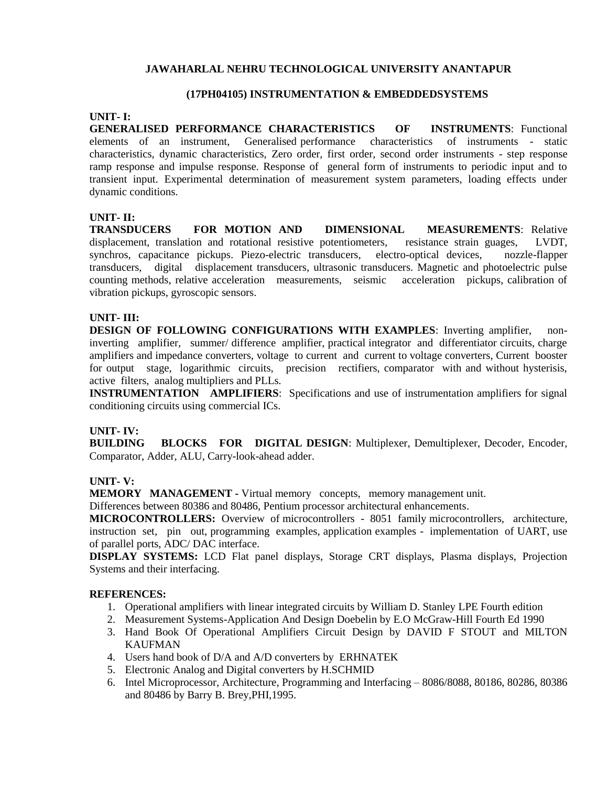# **(17PH04105) INSTRUMENTATION & EMBEDDEDSYSTEMS**

# **UNIT- I:**

**GENERALISED PERFORMANCE CHARACTERISTICS OF INSTRUMENTS**: Functional elements of an instrument, Generalised performance characteristics of instruments - static characteristics, dynamic characteristics, Zero order, first order, second order instruments - step response ramp response and impulse response. Response of general form of instruments to periodic input and to transient input. Experimental determination of measurement system parameters, loading effects under dynamic conditions.

### **UNIT- II:**

**TRANSDUCERS FOR MOTION AND DIMENSIONAL MEASUREMENTS**: Relative displacement, translation and rotational resistive potentiometers, resistance strain guages, LVDT, synchros, capacitance pickups. Piezo-electric transducers, electro-optical devices, nozzle-flapper transducers, digital displacement transducers, ultrasonic transducers. Magnetic and photoelectric pulse counting methods, relative acceleration measurements, seismic acceleration pickups, calibration of vibration pickups, gyroscopic sensors.

### **UNIT- III:**

**DESIGN OF FOLLOWING CONFIGURATIONS WITH EXAMPLES**: Inverting amplifier, noninverting amplifier, summer/ difference amplifier, practical integrator and differentiator circuits, charge amplifiers and impedance converters, voltage to current and current to voltage converters, Current booster for output stage, logarithmic circuits, precision rectifiers, comparator with and without hysterisis, active filters, analog multipliers and PLLs.

**INSTRUMENTATION AMPLIFIERS**: Specifications and use of instrumentation amplifiers for signal conditioning circuits using commercial ICs.

### **UNIT- IV:**

**BUILDING BLOCKS FOR DIGITAL DESIGN**: Multiplexer, Demultiplexer, Decoder, Encoder, Comparator, Adder, ALU, Carry-look-ahead adder.

### **UNIT- V:**

**MEMORY MANAGEMENT -** Virtual memory concepts, memory management unit.

Differences between 80386 and 80486, Pentium processor architectural enhancements.

**MICROCONTROLLERS:** Overview of microcontrollers - 8051 family microcontrollers, architecture, instruction set, pin out, programming examples, application examples - implementation of UART, use of parallel ports, ADC/ DAC interface.

**DISPLAY SYSTEMS:** LCD Flat panel displays, Storage CRT displays, Plasma displays, Projection Systems and their interfacing.

- 1. Operational amplifiers with linear integrated circuits by William D. Stanley LPE Fourth edition
- 2. Measurement Systems-Application And Design Doebelin by E.O McGraw-Hill Fourth Ed 1990
- 3. Hand Book Of Operational Amplifiers Circuit Design by DAVID F STOUT and MILTON KAUFMAN
- 4. Users hand book of D/A and A/D converters by ERHNATEK
- 5. Electronic Analog and Digital converters by H.SCHMID
- 6. Intel Microprocessor, Architecture, Programming and Interfacing 8086/8088, 80186, 80286, 80386 and 80486 by Barry B. Brey,PHI,1995.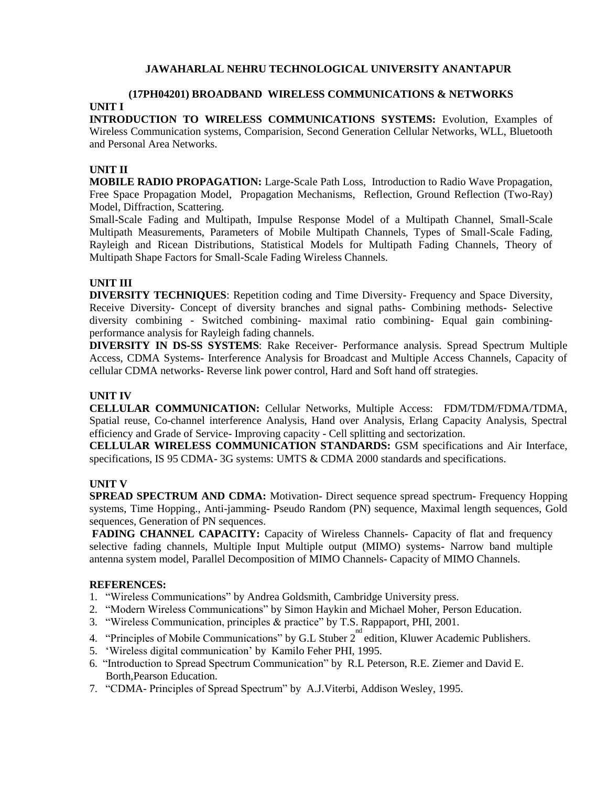# **(17PH04201) BROADBAND WIRELESS COMMUNICATIONS & NETWORKS**

# **UNIT I**

**INTRODUCTION TO WIRELESS COMMUNICATIONS SYSTEMS:** Evolution, Examples of Wireless Communication systems, Comparision, Second Generation Cellular Networks, WLL, Bluetooth and Personal Area Networks.

# **UNIT II**

**MOBILE RADIO PROPAGATION:** Large-Scale Path Loss, Introduction to Radio Wave Propagation, Free Space Propagation Model, Propagation Mechanisms, Reflection, Ground Reflection (Two-Ray) Model, Diffraction, Scattering.

Small-Scale Fading and Multipath, Impulse Response Model of a Multipath Channel, Small-Scale Multipath Measurements, Parameters of Mobile Multipath Channels, Types of Small-Scale Fading, Rayleigh and Ricean Distributions, Statistical Models for Multipath Fading Channels, Theory of Multipath Shape Factors for Small-Scale Fading Wireless Channels.

# **UNIT III**

**DIVERSITY TECHNIQUES**: Repetition coding and Time Diversity- Frequency and Space Diversity, Receive Diversity- Concept of diversity branches and signal paths- Combining methods- Selective diversity combining - Switched combining- maximal ratio combining- Equal gain combiningperformance analysis for Rayleigh fading channels.

**DIVERSITY IN DS-SS SYSTEMS**: Rake Receiver- Performance analysis. Spread Spectrum Multiple Access, CDMA Systems- Interference Analysis for Broadcast and Multiple Access Channels, Capacity of cellular CDMA networks- Reverse link power control, Hard and Soft hand off strategies.

# **UNIT IV**

**CELLULAR COMMUNICATION:** Cellular Networks, Multiple Access: FDM/TDM/FDMA/TDMA, Spatial reuse, Co-channel interference Analysis, Hand over Analysis, Erlang Capacity Analysis, Spectral efficiency and Grade of Service- Improving capacity - Cell splitting and sectorization.

**CELLULAR WIRELESS COMMUNICATION STANDARDS:** GSM specifications and Air Interface, specifications, IS 95 CDMA- 3G systems: UMTS & CDMA 2000 standards and specifications.

### **UNIT V**

**SPREAD SPECTRUM AND CDMA:** Motivation- Direct sequence spread spectrum- Frequency Hopping systems, Time Hopping., Anti-jamming- Pseudo Random (PN) sequence, Maximal length sequences, Gold sequences, Generation of PN sequences.

FADING CHANNEL CAPACITY: Capacity of Wireless Channels- Capacity of flat and frequency selective fading channels, Multiple Input Multiple output (MIMO) systems- Narrow band multiple antenna system model, Parallel Decomposition of MIMO Channels- Capacity of MIMO Channels.

- 1. "Wireless Communications" by Andrea Goldsmith, Cambridge University press.
- 2. "Modern Wireless Communications" by Simon Haykin and Michael Moher, Person Education.
- 3. "Wireless Communication, principles & practice" by T.S. Rappaport, PHI, 2001.
- 4. "Principles of Mobile Communications" by G.L Stuber  $2^{nd}$  edition, Kluwer Academic Publishers.
- 5. "Wireless digital communication" by Kamilo Feher PHI, 1995.
- 6. "Introduction to Spread Spectrum Communication" by R.L Peterson, R.E. Ziemer and David E. Borth,Pearson Education.
- 7. "CDMA- Principles of Spread Spectrum" by A.J.Viterbi, Addison Wesley, 1995.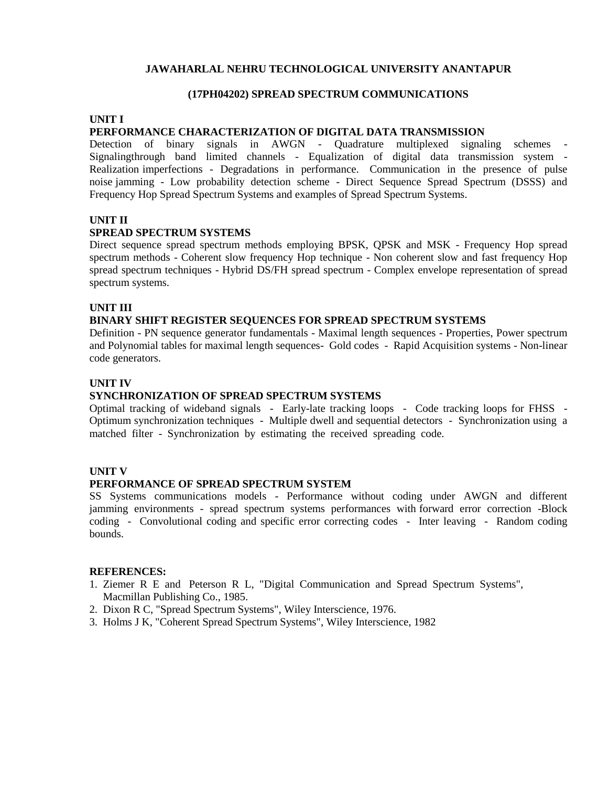# **(17PH04202) SPREAD SPECTRUM COMMUNICATIONS**

#### **UNIT I**

#### **PERFORMANCE CHARACTERIZATION OF DIGITAL DATA TRANSMISSION**

Detection of binary signals in AWGN - Quadrature multiplexed signaling schemes - Signalingthrough band limited channels - Equalization of digital data transmission system - Realization imperfections - Degradations in performance. Communication in the presence of pulse noise jamming - Low probability detection scheme - Direct Sequence Spread Spectrum (DSSS) and Frequency Hop Spread Spectrum Systems and examples of Spread Spectrum Systems.

# **UNIT II**

#### **SPREAD SPECTRUM SYSTEMS**

Direct sequence spread spectrum methods employing BPSK, QPSK and MSK - Frequency Hop spread spectrum methods - Coherent slow frequency Hop technique - Non coherent slow and fast frequency Hop spread spectrum techniques - Hybrid DS/FH spread spectrum - Complex envelope representation of spread spectrum systems.

#### **UNIT III**

#### **BINARY SHIFT REGISTER SEQUENCES FOR SPREAD SPECTRUM SYSTEMS**

Definition - PN sequence generator fundamentals - Maximal length sequences - Properties, Power spectrum and Polynomial tables for maximal length sequences- Gold codes - Rapid Acquisition systems - Non-linear code generators.

#### **UNIT IV**

### **SYNCHRONIZATION OF SPREAD SPECTRUM SYSTEMS**

Optimal tracking of wideband signals - Early-late tracking loops - Code tracking loops for FHSS - Optimum synchronization techniques - Multiple dwell and sequential detectors - Synchronization using a matched filter - Synchronization by estimating the received spreading code.

#### **UNIT V**

#### **PERFORMANCE OF SPREAD SPECTRUM SYSTEM**

SS Systems communications models - Performance without coding under AWGN and different jamming environments - spread spectrum systems performances with forward error correction -Block coding - Convolutional coding and specific error correcting codes - Inter leaving - Random coding bounds.

- 1. Ziemer R E and Peterson R L, "Digital Communication and Spread Spectrum Systems", Macmillan Publishing Co., 1985.
- 2. Dixon R C, "Spread Spectrum Systems", Wiley Interscience, 1976.
- 3. Holms J K, "Coherent Spread Spectrum Systems", Wiley Interscience, 1982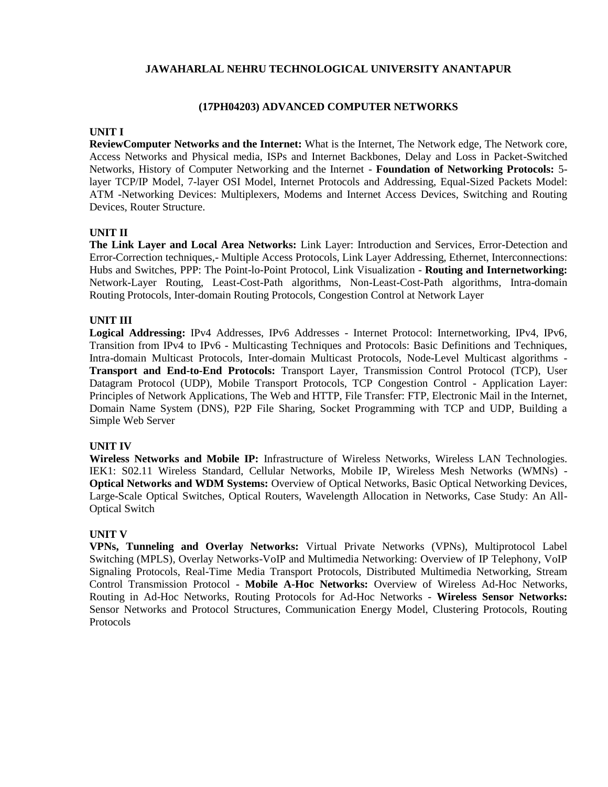# **(17PH04203) ADVANCED COMPUTER NETWORKS**

# **UNIT I**

**ReviewComputer Networks and the Internet:** What is the Internet, The Network edge, The Network core, Access Networks and Physical media, ISPs and Internet Backbones, Delay and Loss in Packet-Switched Networks, History of Computer Networking and the Internet - **Foundation of Networking Protocols:** 5 layer TCP/IP Model, 7-layer OSI Model, Internet Protocols and Addressing, Equal-Sized Packets Model: ATM -Networking Devices: Multiplexers, Modems and Internet Access Devices, Switching and Routing Devices, Router Structure.

# **UNIT II**

**The Link Layer and Local Area Networks:** Link Layer: Introduction and Services, Error-Detection and Error-Correction techniques,- Multiple Access Protocols, Link Layer Addressing, Ethernet, Interconnections: Hubs and Switches, PPP: The Point-lo-Point Protocol, Link Visualization - **Routing and Internetworking:** Network-Layer Routing, Least-Cost-Path algorithms, Non-Least-Cost-Path algorithms, Intra-domain Routing Protocols, Inter-domain Routing Protocols, Congestion Control at Network Layer

# **UNIT III**

**Logical Addressing:** IPv4 Addresses, IPv6 Addresses - Internet Protocol: Internetworking, IPv4, IPv6, Transition from IPv4 to IPv6 - Multicasting Techniques and Protocols: Basic Definitions and Techniques, Intra-domain Multicast Protocols, Inter-domain Multicast Protocols, Node-Level Multicast algorithms - **Transport and End-to-End Protocols:** Transport Layer, Transmission Control Protocol (TCP), User Datagram Protocol (UDP), Mobile Transport Protocols, TCP Congestion Control - Application Layer: Principles of Network Applications, The Web and HTTP, File Transfer: FTP, Electronic Mail in the Internet, Domain Name System (DNS), P2P File Sharing, Socket Programming with TCP and UDP, Building a Simple Web Server

### **UNIT IV**

**Wireless Networks and Mobile IP:** Infrastructure of Wireless Networks, Wireless LAN Technologies. IEK1: S02.11 Wireless Standard, Cellular Networks, Mobile IP, Wireless Mesh Networks (WMNs) - **Optical Networks and WDM Systems:** Overview of Optical Networks, Basic Optical Networking Devices, Large-Scale Optical Switches, Optical Routers, Wavelength Allocation in Networks, Case Study: An All-Optical Switch

### **UNIT V**

**VPNs, Tunneling and Overlay Networks:** Virtual Private Networks (VPNs), Multiprotocol Label Switching (MPLS), Overlay Networks-VoIP and Multimedia Networking: Overview of IP Telephony, VoIP Signaling Protocols, Real-Time Media Transport Protocols, Distributed Multimedia Networking, Stream Control Transmission Protocol - **Mobile A-Hoc Networks:** Overview of Wireless Ad-Hoc Networks, Routing in Ad-Hoc Networks, Routing Protocols for Ad-Hoc Networks - **Wireless Sensor Networks:** Sensor Networks and Protocol Structures, Communication Energy Model, Clustering Protocols, Routing Protocols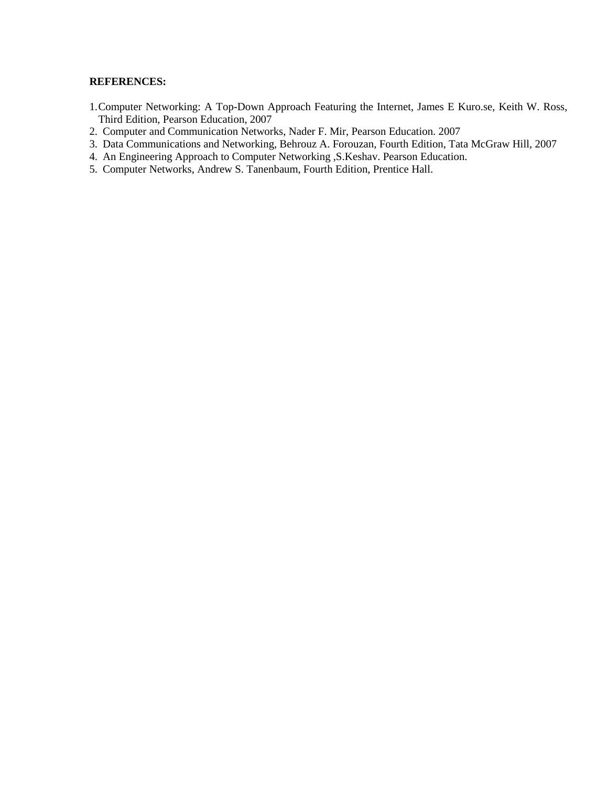- 1.Computer Networking: A Top-Down Approach Featuring the Internet, James E Kuro.se, Keith W. Ross, Third Edition, Pearson Education, 2007
- 2. Computer and Communication Networks, Nader F. Mir, Pearson Education. 2007
- 3. Data Communications and Networking, Behrouz A. Forouzan, Fourth Edition, Tata McGraw Hill, 2007
- 4. An Engineering Approach to Computer Networking ,S.Keshav. Pearson Education.
- 5. Computer Networks, Andrew S. Tanenbaum, Fourth Edition, Prentice Hall.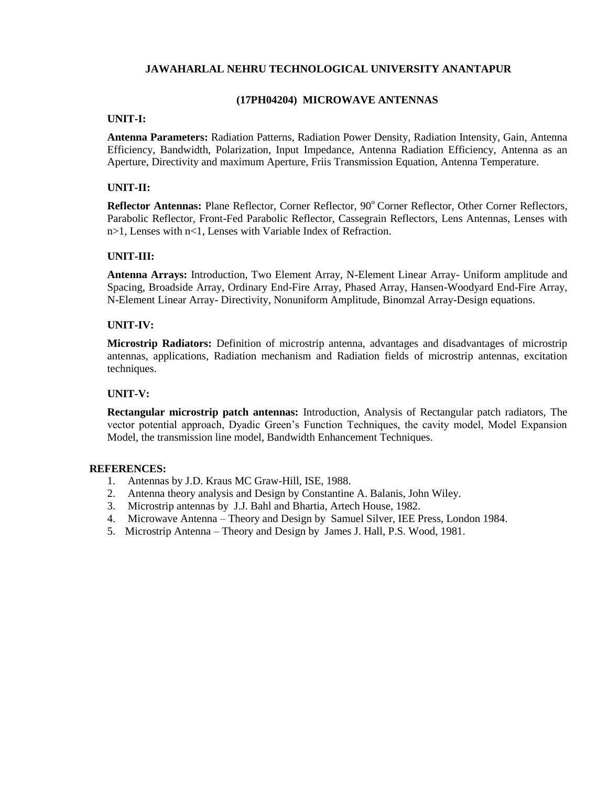### **(17PH04204) MICROWAVE ANTENNAS**

#### **UNIT-I:**

**Antenna Parameters:** Radiation Patterns, Radiation Power Density, Radiation Intensity, Gain, Antenna Efficiency, Bandwidth, Polarization, Input Impedance, Antenna Radiation Efficiency, Antenna as an Aperture, Directivity and maximum Aperture, Friis Transmission Equation, Antenna Temperature.

# **UNIT-II:**

Reflector Antennas: Plane Reflector, Corner Reflector, 90° Corner Reflector, Other Corner Reflectors, Parabolic Reflector, Front-Fed Parabolic Reflector, Cassegrain Reflectors, Lens Antennas, Lenses with n>1, Lenses with n<1, Lenses with Variable Index of Refraction.

# **UNIT-III:**

**Antenna Arrays:** Introduction, Two Element Array, N-Element Linear Array- Uniform amplitude and Spacing, Broadside Array, Ordinary End-Fire Array, Phased Array, Hansen-Woodyard End-Fire Array, N-Element Linear Array- Directivity, Nonuniform Amplitude, Binomzal Array-Design equations.

# **UNIT-IV:**

**Microstrip Radiators:** Definition of microstrip antenna, advantages and disadvantages of microstrip antennas, applications, Radiation mechanism and Radiation fields of microstrip antennas, excitation techniques.

### **UNIT-V:**

**Rectangular microstrip patch antennas:** Introduction, Analysis of Rectangular patch radiators, The vector potential approach, Dyadic Green"s Function Techniques, the cavity model, Model Expansion Model, the transmission line model, Bandwidth Enhancement Techniques.

- 1. Antennas by J.D. Kraus MC Graw-Hill, ISE, 1988.
- 2. Antenna theory analysis and Design by Constantine A. Balanis, John Wiley.
- 3. Microstrip antennas by J.J. Bahl and Bhartia, Artech House, 1982.
- 4. Microwave Antenna Theory and Design by Samuel Silver, IEE Press, London 1984.
- 5. Microstrip Antenna Theory and Design by James J. Hall, P.S. Wood, 1981.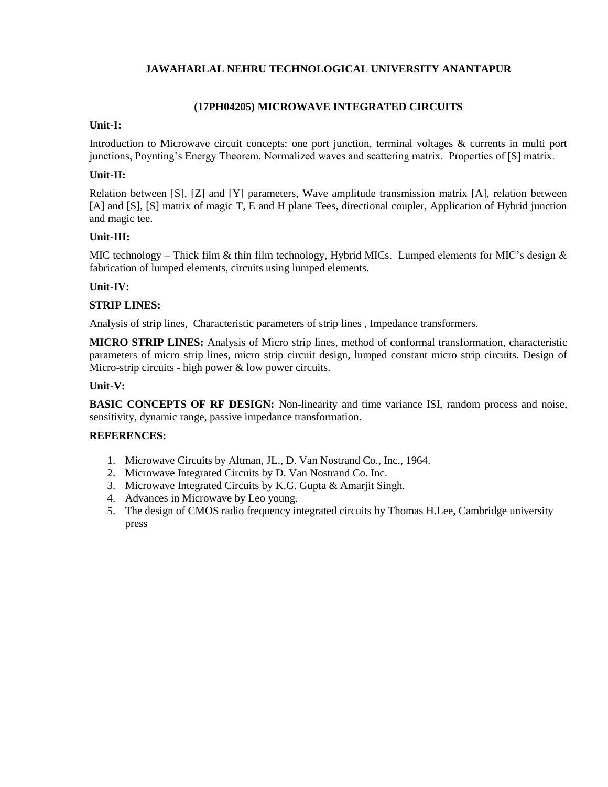# **(17PH04205) MICROWAVE INTEGRATED CIRCUITS**

# **Unit-I:**

Introduction to Microwave circuit concepts: one port junction, terminal voltages & currents in multi port junctions, Poynting's Energy Theorem, Normalized waves and scattering matrix. Properties of [S] matrix.

# **Unit-II:**

Relation between [S], [Z] and [Y] parameters, Wave amplitude transmission matrix [A], relation between [A] and [S], [S] matrix of magic T, E and H plane Tees, directional coupler, Application of Hybrid junction and magic tee.

# **Unit-III:**

MIC technology – Thick film & thin film technology, Hybrid MICs. Lumped elements for MIC's design  $\&$ fabrication of lumped elements, circuits using lumped elements.

# **Unit-IV:**

# **STRIP LINES:**

Analysis of strip lines, Characteristic parameters of strip lines , Impedance transformers.

**MICRO STRIP LINES:** Analysis of Micro strip lines, method of conformal transformation, characteristic parameters of micro strip lines, micro strip circuit design, lumped constant micro strip circuits. Design of Micro-strip circuits - high power & low power circuits.

# **Unit-V:**

**BASIC CONCEPTS OF RF DESIGN:** Non-linearity and time variance ISI, random process and noise, sensitivity, dynamic range, passive impedance transformation.

- 1. Microwave Circuits by Altman, JL., D. Van Nostrand Co., Inc., 1964.
- 2. Microwave Integrated Circuits by D. Van Nostrand Co. Inc.
- 3. Microwave Integrated Circuits by K.G. Gupta & Amarjit Singh.
- 4. Advances in Microwave by Leo young.
- 5. The design of CMOS radio frequency integrated circuits by Thomas H.Lee, Cambridge university press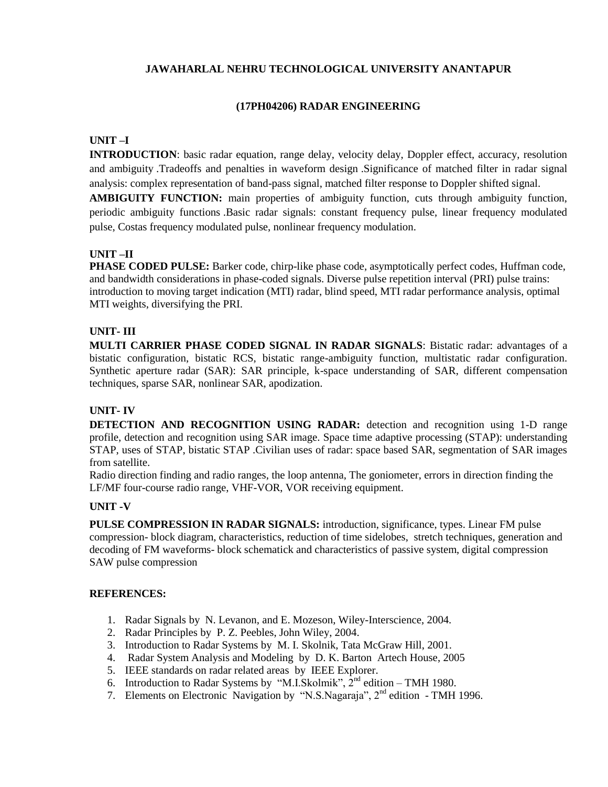# **(17PH04206) RADAR ENGINEERING**

# **UNIT –I**

**INTRODUCTION**: basic radar equation, range delay, velocity delay, Doppler effect, accuracy, resolution and ambiguity .Tradeoffs and penalties in waveform design .Significance of matched filter in radar signal analysis: complex representation of band-pass signal, matched filter response to Doppler shifted signal.

**AMBIGUITY FUNCTION:** main properties of ambiguity function, cuts through ambiguity function, periodic ambiguity functions .Basic radar signals: constant frequency pulse, linear frequency modulated pulse, Costas frequency modulated pulse, nonlinear frequency modulation.

# **UNIT –II**

**PHASE CODED PULSE:** Barker code, chirp-like phase code, asymptotically perfect codes, Huffman code, and bandwidth considerations in phase-coded signals. Diverse pulse repetition interval (PRI) pulse trains: introduction to moving target indication (MTI) radar, blind speed, MTI radar performance analysis, optimal MTI weights, diversifying the PRI.

# **UNIT- III**

**MULTI CARRIER PHASE CODED SIGNAL IN RADAR SIGNALS**: Bistatic radar: advantages of a bistatic configuration, bistatic RCS, bistatic range-ambiguity function, multistatic radar configuration. Synthetic aperture radar (SAR): SAR principle, k-space understanding of SAR, different compensation techniques, sparse SAR, nonlinear SAR, apodization.

# **UNIT- IV**

**DETECTION AND RECOGNITION USING RADAR:** detection and recognition using 1-D range profile, detection and recognition using SAR image. Space time adaptive processing (STAP): understanding STAP, uses of STAP, bistatic STAP .Civilian uses of radar: space based SAR, segmentation of SAR images from satellite.

Radio direction finding and radio ranges, the loop antenna, The goniometer, errors in direction finding the LF/MF four-course radio range, VHF-VOR, VOR receiving equipment.

### **UNIT -V**

**PULSE COMPRESSION IN RADAR SIGNALS:** introduction, significance, types. Linear FM pulse compression- block diagram, characteristics, reduction of time sidelobes, stretch techniques, generation and decoding of FM waveforms- block schematick and characteristics of passive system, digital compression SAW pulse compression

- 1. Radar Signals by N. Levanon, and E. Mozeson, Wiley-Interscience, 2004.
- 2. Radar Principles by P. Z. Peebles, John Wiley, 2004.
- 3. Introduction to Radar Systems by M. I. Skolnik, Tata McGraw Hill, 2001.
- 4. Radar System Analysis and Modeling by D. K. Barton Artech House, 2005
- 5. IEEE standards on radar related areas by IEEE Explorer.
- 6. Introduction to Radar Systems by "M.I.Skolmik",  $2<sup>nd</sup>$  edition TMH 1980.
- 7. Elements on Electronic Navigation by "N.S.Nagaraja", 2nd edition TMH 1996.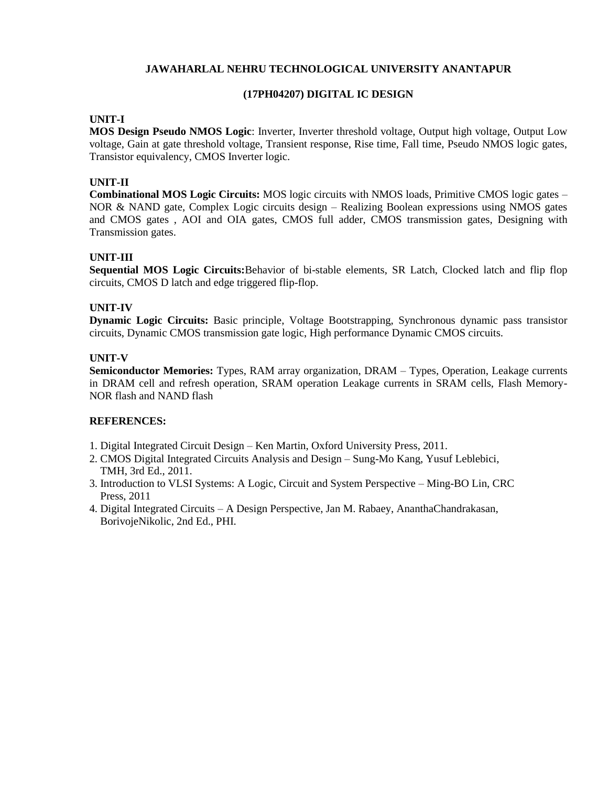# **(17PH04207) DIGITAL IC DESIGN**

# **UNIT-I**

**MOS Design Pseudo NMOS Logic**: Inverter, Inverter threshold voltage, Output high voltage, Output Low voltage, Gain at gate threshold voltage, Transient response, Rise time, Fall time, Pseudo NMOS logic gates, Transistor equivalency, CMOS Inverter logic.

# **UNIT-II**

**Combinational MOS Logic Circuits:** MOS logic circuits with NMOS loads, Primitive CMOS logic gates – NOR & NAND gate, Complex Logic circuits design – Realizing Boolean expressions using NMOS gates and CMOS gates , AOI and OIA gates, CMOS full adder, CMOS transmission gates, Designing with Transmission gates.

# **UNIT-III**

**Sequential MOS Logic Circuits:**Behavior of bi-stable elements, SR Latch, Clocked latch and flip flop circuits, CMOS D latch and edge triggered flip-flop.

# **UNIT-IV**

**Dynamic Logic Circuits:** Basic principle, Voltage Bootstrapping, Synchronous dynamic pass transistor circuits, Dynamic CMOS transmission gate logic, High performance Dynamic CMOS circuits.

# **UNIT-V**

**Semiconductor Memories:** Types, RAM array organization, DRAM – Types, Operation, Leakage currents in DRAM cell and refresh operation, SRAM operation Leakage currents in SRAM cells, Flash Memory-NOR flash and NAND flash

- 1. Digital Integrated Circuit Design Ken Martin, Oxford University Press, 2011.
- 2. CMOS Digital Integrated Circuits Analysis and Design Sung-Mo Kang, Yusuf Leblebici, TMH, 3rd Ed., 2011.
- 3. Introduction to VLSI Systems: A Logic, Circuit and System Perspective Ming-BO Lin, CRC Press, 2011
- 4. Digital Integrated Circuits A Design Perspective, Jan M. Rabaey, AnanthaChandrakasan, BorivojeNikolic, 2nd Ed., PHI.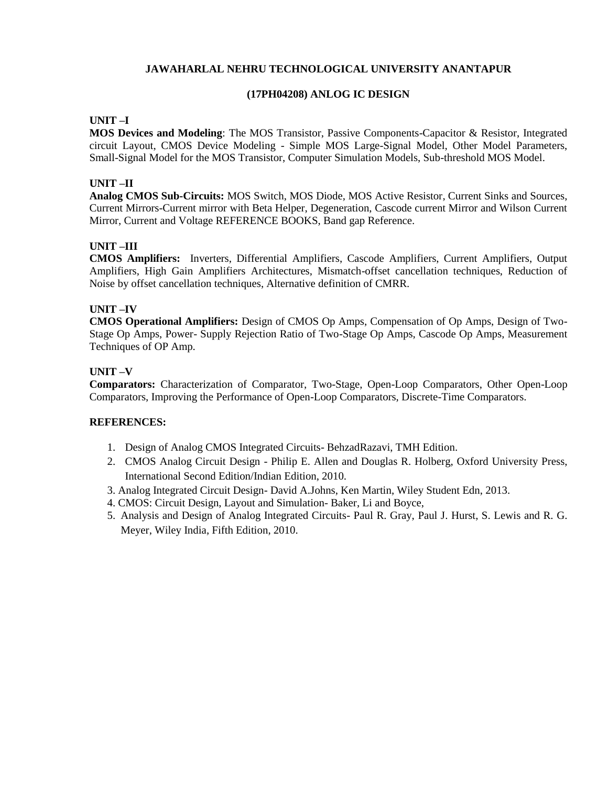# **(17PH04208) ANLOG IC DESIGN**

# **UNIT –I**

**MOS Devices and Modeling**: The MOS Transistor, Passive Components-Capacitor & Resistor, Integrated circuit Layout, CMOS Device Modeling - Simple MOS Large-Signal Model, Other Model Parameters, Small-Signal Model for the MOS Transistor, Computer Simulation Models, Sub-threshold MOS Model.

# **UNIT –II**

**Analog CMOS Sub-Circuits:** MOS Switch, MOS Diode, MOS Active Resistor, Current Sinks and Sources, Current Mirrors-Current mirror with Beta Helper, Degeneration, Cascode current Mirror and Wilson Current Mirror, Current and Voltage REFERENCE BOOKS, Band gap Reference.

# **UNIT –III**

**CMOS Amplifiers:** Inverters, Differential Amplifiers, Cascode Amplifiers, Current Amplifiers, Output Amplifiers, High Gain Amplifiers Architectures, Mismatch-offset cancellation techniques, Reduction of Noise by offset cancellation techniques, Alternative definition of CMRR.

# **UNIT –IV**

**CMOS Operational Amplifiers:** Design of CMOS Op Amps, Compensation of Op Amps, Design of Two-Stage Op Amps, Power- Supply Rejection Ratio of Two-Stage Op Amps, Cascode Op Amps, Measurement Techniques of OP Amp.

# **UNIT –V**

**Comparators:** Characterization of Comparator, Two-Stage, Open-Loop Comparators, Other Open-Loop Comparators, Improving the Performance of Open-Loop Comparators, Discrete-Time Comparators.

- 1. Design of Analog CMOS Integrated Circuits- BehzadRazavi, TMH Edition.
- 2. CMOS Analog Circuit Design Philip E. Allen and Douglas R. Holberg, Oxford University Press, International Second Edition/Indian Edition, 2010.
- 3. Analog Integrated Circuit Design- David A.Johns, Ken Martin, Wiley Student Edn, 2013.
- 4. CMOS: Circuit Design, Layout and Simulation- Baker, Li and Boyce,
- 5. Analysis and Design of Analog Integrated Circuits- Paul R. Gray, Paul J. Hurst, S. Lewis and R. G. Meyer, Wiley India, Fifth Edition, 2010.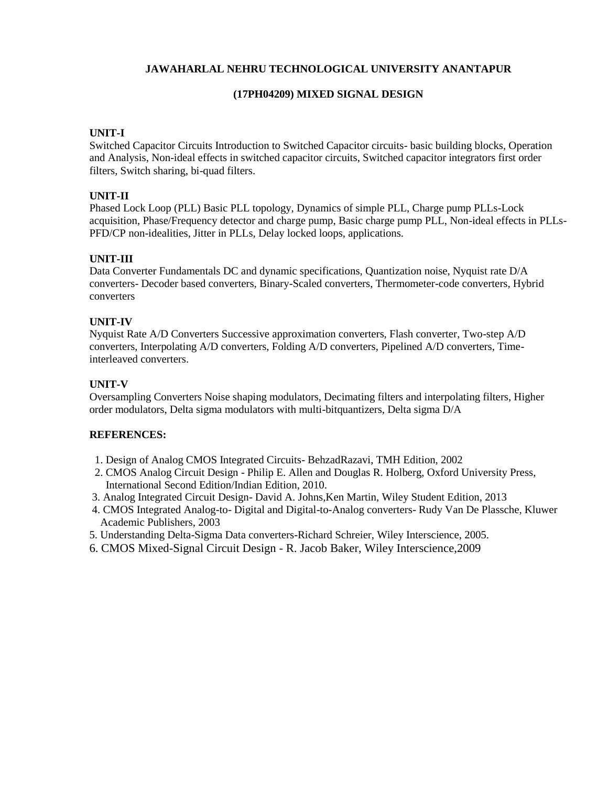# **(17PH04209) MIXED SIGNAL DESIGN**

# **UNIT-I**

Switched Capacitor Circuits Introduction to Switched Capacitor circuits- basic building blocks, Operation and Analysis, Non-ideal effects in switched capacitor circuits, Switched capacitor integrators first order filters, Switch sharing, bi-quad filters.

# **UNIT-II**

Phased Lock Loop (PLL) Basic PLL topology, Dynamics of simple PLL, Charge pump PLLs-Lock acquisition, Phase/Frequency detector and charge pump, Basic charge pump PLL, Non-ideal effects in PLLs-PFD/CP non-idealities, Jitter in PLLs, Delay locked loops, applications.

# **UNIT-III**

Data Converter Fundamentals DC and dynamic specifications, Quantization noise, Nyquist rate D/A converters- Decoder based converters, Binary-Scaled converters, Thermometer-code converters, Hybrid converters

# **UNIT-IV**

Nyquist Rate A/D Converters Successive approximation converters, Flash converter, Two-step A/D converters, Interpolating A/D converters, Folding A/D converters, Pipelined A/D converters, Timeinterleaved converters.

# **UNIT-V**

Oversampling Converters Noise shaping modulators, Decimating filters and interpolating filters, Higher order modulators, Delta sigma modulators with multi-bitquantizers, Delta sigma D/A

- 1. Design of Analog CMOS Integrated Circuits- BehzadRazavi, TMH Edition, 2002
- 2. CMOS Analog Circuit Design Philip E. Allen and Douglas R. Holberg, Oxford University Press, International Second Edition/Indian Edition, 2010.
- 3. Analog Integrated Circuit Design- David A. Johns,Ken Martin, Wiley Student Edition, 2013
- 4. CMOS Integrated Analog-to- Digital and Digital-to-Analog converters- Rudy Van De Plassche, Kluwer Academic Publishers, 2003
- 5. Understanding Delta-Sigma Data converters-Richard Schreier, Wiley Interscience, 2005.
- 6. CMOS Mixed-Signal Circuit Design R. Jacob Baker, Wiley Interscience,2009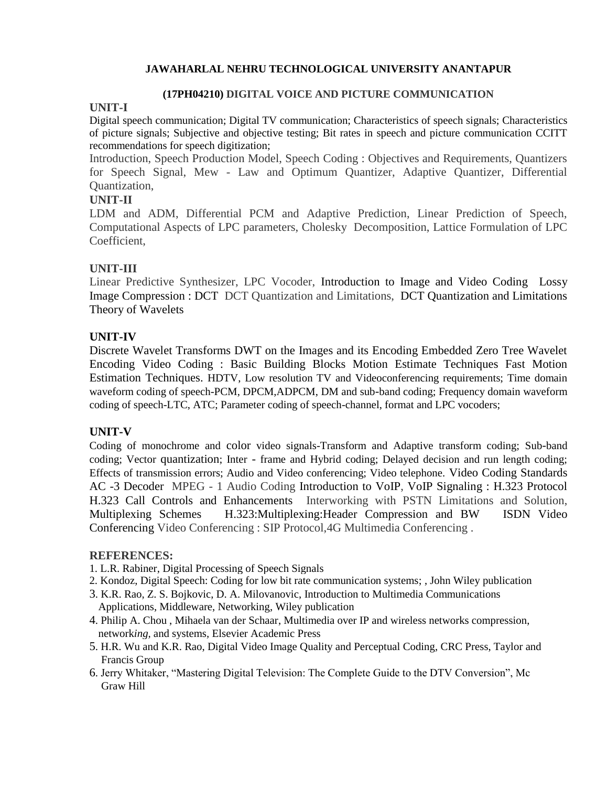# **(17PH04210) DIGITAL VOICE AND PICTURE COMMUNICATION**

# **UNIT-I**

Digital speech communication; Digital TV communication; Characteristics of speech signals; Characteristics of picture signals; Subjective and objective testing; Bit rates in speech and picture communication CCITT recommendations for speech digitization;

Introduction, Speech Production Model, Speech Coding : Objectives and Requirements, Quantizers for Speech Signal, Mew - Law and Optimum Quantizer, Adaptive Quantizer, Differential Quantization,

# **UNIT-II**

LDM and ADM, Differential PCM and Adaptive Prediction, Linear Prediction of Speech, Computational Aspects of LPC parameters, Cholesky Decomposition, Lattice Formulation of LPC Coefficient,

# **UNIT-III**

Linear Predictive Synthesizer, LPC Vocoder, Introduction to Image and Video Coding Lossy Image Compression : DCT DCT Quantization and Limitations, DCT Quantization and Limitations Theory of Wavelets

# **UNIT-IV**

Discrete Wavelet Transforms DWT on the Images and its Encoding Embedded Zero Tree Wavelet Encoding Video Coding : Basic Building Blocks Motion Estimate Techniques Fast Motion Estimation Techniques. HDTV, Low resolution TV and Videoconferencing requirements; Time domain waveform coding of speech-PCM, DPCM,ADPCM, DM and sub-band coding; Frequency domain waveform coding of speech-LTC, ATC; Parameter coding of speech-channel, format and LPC vocoders;

# **UNIT-V**

Coding of monochrome and color video signals-Transform and Adaptive transform coding; Sub-band coding; Vector quantization; Inter - frame and Hybrid coding; Delayed decision and run length coding; Effects of transmission errors; Audio and Video conferencing; Video telephone. Video Coding Standards AC -3 Decoder MPEG - 1 Audio Coding Introduction to VoIP, VoIP Signaling : H.323 Protocol H.323 Call Controls and Enhancements Interworking with PSTN Limitations and Solution, Multiplexing Schemes H.323:Multiplexing:Header Compression and BW ISDN Video Conferencing Video Conferencing : SIP Protocol,4G Multimedia Conferencing .

- 1. L.R. Rabiner, Digital Processing of Speech Signals
- 2. Kondoz, Digital Speech: Coding for low bit rate communication systems; , John Wiley publication
- 3. K.R. Rao, Z. S. Bojkovic, D. A. Milovanovic, Introduction to Multimedia Communications Applications, Middleware, Networking, Wiley publication
- 4. Philip A. Chou , Mihaela van der Schaar, Multimedia over IP and wireless networks compression, network*ing,* and systems*,* Elsevier Academic Press
- 5. H.R. Wu and K.R. Rao, Digital Video Image Quality and Perceptual Coding, CRC Press, Taylor and Francis Group
- 6. Jerry Whitaker, "Mastering Digital Television: The Complete Guide to the DTV Conversion", Mc Graw Hill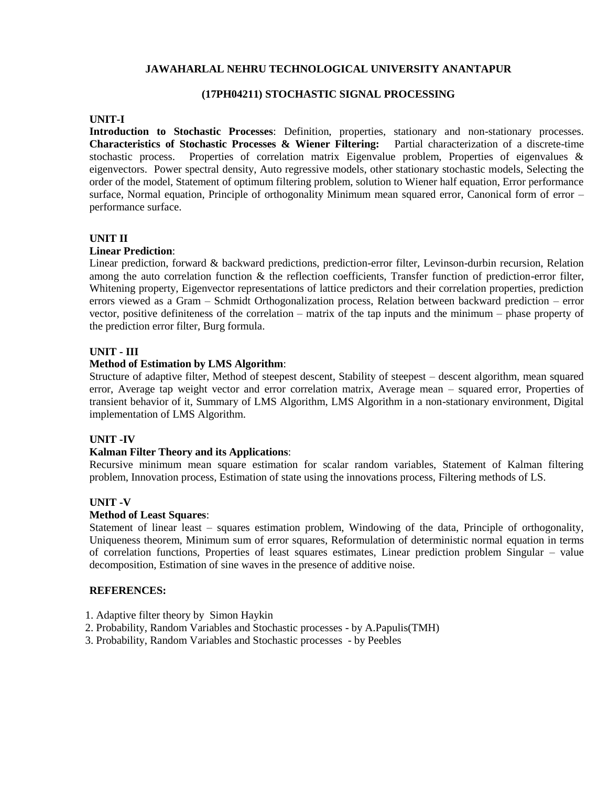#### **(17PH04211) STOCHASTIC SIGNAL PROCESSING**

#### **UNIT-I**

**Introduction to Stochastic Processes**: Definition, properties, stationary and non-stationary processes. **Characteristics of Stochastic Processes & Wiener Filtering:** Partial characterization of a discrete-time stochastic process. Properties of correlation matrix Eigenvalue problem, Properties of eigenvalues  $\&$ eigenvectors. Power spectral density, Auto regressive models, other stationary stochastic models, Selecting the order of the model, Statement of optimum filtering problem, solution to Wiener half equation, Error performance surface, Normal equation, Principle of orthogonality Minimum mean squared error, Canonical form of error – performance surface.

### **UNIT II**

#### **Linear Prediction**:

Linear prediction, forward & backward predictions, prediction-error filter, Levinson-durbin recursion, Relation among the auto correlation function & the reflection coefficients, Transfer function of prediction-error filter, Whitening property, Eigenvector representations of lattice predictors and their correlation properties, prediction errors viewed as a Gram – Schmidt Orthogonalization process, Relation between backward prediction – error vector, positive definiteness of the correlation – matrix of the tap inputs and the minimum – phase property of the prediction error filter, Burg formula.

#### **UNIT - III**

#### **Method of Estimation by LMS Algorithm**:

Structure of adaptive filter, Method of steepest descent, Stability of steepest – descent algorithm, mean squared error, Average tap weight vector and error correlation matrix, Average mean – squared error, Properties of transient behavior of it, Summary of LMS Algorithm, LMS Algorithm in a non-stationary environment, Digital implementation of LMS Algorithm.

#### **UNIT -IV**

#### **Kalman Filter Theory and its Applications**:

Recursive minimum mean square estimation for scalar random variables, Statement of Kalman filtering problem, Innovation process, Estimation of state using the innovations process, Filtering methods of LS.

#### **UNIT -V**

#### **Method of Least Squares**:

Statement of linear least – squares estimation problem, Windowing of the data, Principle of orthogonality, Uniqueness theorem, Minimum sum of error squares, Reformulation of deterministic normal equation in terms of correlation functions, Properties of least squares estimates, Linear prediction problem Singular – value decomposition, Estimation of sine waves in the presence of additive noise.

- 1. Adaptive filter theory by Simon Haykin
- 2. Probability, Random Variables and Stochastic processes by A.Papulis(TMH)
- 3. Probability, Random Variables and Stochastic processes by Peebles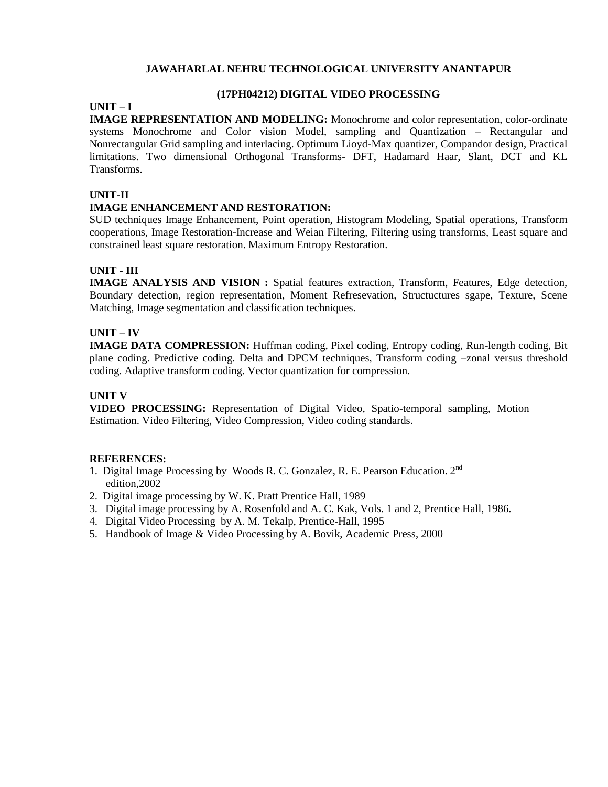# **(17PH04212) DIGITAL VIDEO PROCESSING**

# **UNIT – I**

**IMAGE REPRESENTATION AND MODELING:** Monochrome and color representation, color-ordinate systems Monochrome and Color vision Model, sampling and Quantization – Rectangular and Nonrectangular Grid sampling and interlacing. Optimum Lioyd-Max quantizer, Compandor design, Practical limitations. Two dimensional Orthogonal Transforms- DFT, Hadamard Haar, Slant, DCT and KL Transforms.

# **UNIT-II**

# **IMAGE ENHANCEMENT AND RESTORATION:**

SUD techniques Image Enhancement, Point operation, Histogram Modeling, Spatial operations, Transform cooperations, Image Restoration-Increase and Weian Filtering, Filtering using transforms, Least square and constrained least square restoration. Maximum Entropy Restoration.

### **UNIT - III**

**IMAGE ANALYSIS AND VISION :** Spatial features extraction, Transform, Features, Edge detection, Boundary detection, region representation, Moment Refresevation, Structuctures sgape, Texture, Scene Matching, Image segmentation and classification techniques.

### **UNIT – IV**

**IMAGE DATA COMPRESSION:** Huffman coding, Pixel coding, Entropy coding, Run-length coding, Bit plane coding. Predictive coding. Delta and DPCM techniques, Transform coding –zonal versus threshold coding. Adaptive transform coding. Vector quantization for compression.

# **UNIT V**

**VIDEO PROCESSING:** Representation of Digital Video, Spatio-temporal sampling, Motion Estimation. Video Filtering, Video Compression, Video coding standards.

- 1. Digital Image Processing by Woods R. C. Gonzalez, R. E. Pearson Education. 2nd edition,2002
- 2. Digital image processing by W. K. Pratt Prentice Hall, 1989
- 3. Digital image processing by A. Rosenfold and A. C. Kak, Vols. 1 and 2, Prentice Hall, 1986.
- 4. Digital Video Processing by A. M. Tekalp, Prentice-Hall, 1995
- 5. Handbook of Image & Video Processing by A. Bovik, Academic Press, 2000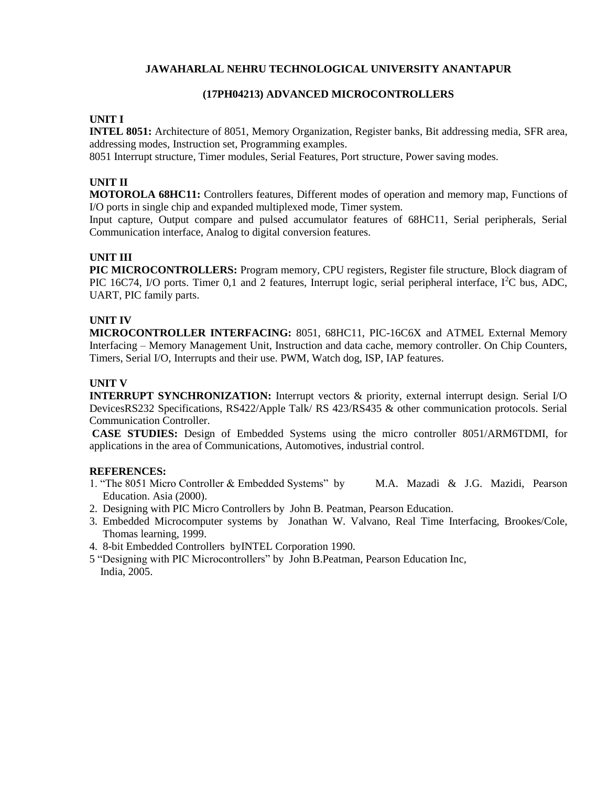### **(17PH04213) ADVANCED MICROCONTROLLERS**

#### **UNIT I**

**INTEL 8051:** Architecture of 8051, Memory Organization, Register banks, Bit addressing media, SFR area, addressing modes, Instruction set, Programming examples.

8051 Interrupt structure, Timer modules, Serial Features, Port structure, Power saving modes.

### **UNIT II**

**MOTOROLA 68HC11:** Controllers features, Different modes of operation and memory map, Functions of I/O ports in single chip and expanded multiplexed mode, Timer system.

Input capture, Output compare and pulsed accumulator features of 68HC11, Serial peripherals, Serial Communication interface, Analog to digital conversion features.

# **UNIT III**

**PIC MICROCONTROLLERS:** Program memory, CPU registers, Register file structure, Block diagram of PIC 16C74, I/O ports. Timer 0,1 and 2 features, Interrupt logic, serial peripheral interface,  $I^2C$  bus, ADC, UART, PIC family parts.

### **UNIT IV**

**MICROCONTROLLER INTERFACING:** 8051, 68HC11, PIC-16C6X and ATMEL External Memory Interfacing – Memory Management Unit, Instruction and data cache, memory controller. On Chip Counters, Timers, Serial I/O, Interrupts and their use. PWM, Watch dog, ISP, IAP features.

### **UNIT V**

**INTERRUPT SYNCHRONIZATION:** Interrupt vectors & priority, external interrupt design. Serial I/O DevicesRS232 Specifications, RS422/Apple Talk/ RS 423/RS435 & other communication protocols. Serial Communication Controller.

**CASE STUDIES:** Design of Embedded Systems using the micro controller 8051/ARM6TDMI, for applications in the area of Communications, Automotives, industrial control.

- 1. "The 8051 Micro Controller & Embedded Systems" by M.A. Mazadi & J.G. Mazidi, Pearson Education. Asia (2000).
- 2. Designing with PIC Micro Controllers by John B. Peatman, Pearson Education.
- 3. Embedded Microcomputer systems by Jonathan W. Valvano, Real Time Interfacing, Brookes/Cole, Thomas learning, 1999.
- 4. 8-bit Embedded Controllers byINTEL Corporation 1990.
- 5 "Designing with PIC Microcontrollers" by John B.Peatman, Pearson Education Inc, India, 2005.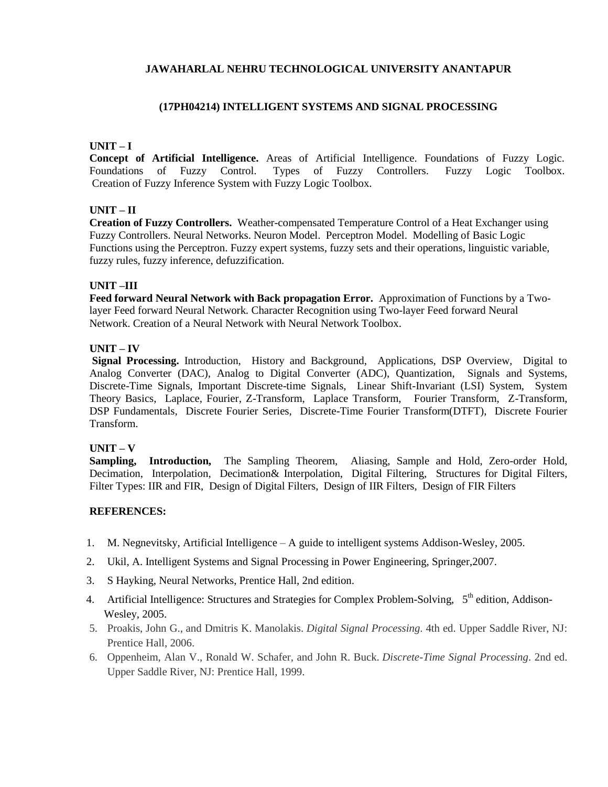# **(17PH04214) INTELLIGENT SYSTEMS AND SIGNAL PROCESSING**

#### **UNIT – I**

**Concept of Artificial Intelligence.** Areas of Artificial Intelligence. Foundations of Fuzzy Logic. Foundations of Fuzzy Control. Types of Fuzzy Controllers. Fuzzy Logic Toolbox. Creation of Fuzzy Inference System with Fuzzy Logic Toolbox.

### **UNIT – II**

**Creation of Fuzzy Controllers.** Weather-compensated Temperature Control of a Heat Exchanger using Fuzzy Controllers. Neural Networks. Neuron Model. Perceptron Model. Modelling of Basic Logic Functions using the Perceptron. Fuzzy expert systems, fuzzy sets and their operations, linguistic variable, fuzzy rules, fuzzy inference, defuzzification.

# **UNIT –III**

**Feed forward Neural Network with Back propagation Error.** Approximation of Functions by a Twolayer Feed forward Neural Network. Character Recognition using Two-layer Feed forward Neural Network. Creation of a Neural Network with Neural Network Toolbox.

#### **UNIT – IV**

**Signal Processing.** Introduction, History and Background, Applications, DSP Overview, Digital to Analog Converter (DAC), Analog to Digital Converter (ADC), Quantization, Signals and Systems, Discrete-Time Signals, Important Discrete-time Signals, Linear Shift-Invariant (LSI) System, System Theory Basics, Laplace, Fourier, Z-Transform, Laplace Transform, Fourier Transform, Z-Transform, DSP Fundamentals, Discrete Fourier Series, Discrete-Time Fourier Transform(DTFT), Discrete Fourier Transform.

#### **UNIT – V**

**Sampling, Introduction,** The Sampling Theorem, Aliasing, Sample and Hold, Zero-order Hold, Decimation, Interpolation, Decimation& Interpolation, Digital Filtering, Structures for Digital Filters, Filter Types: IIR and FIR, Design of Digital Filters, Design of IIR Filters, Design of FIR Filters

- 1. M. Negnevitsky, Artificial Intelligence A guide to intelligent systems Addison-Wesley, 2005.
- 2. Ukil, A. Intelligent Systems and Signal Processing in Power Engineering, Springer,2007.
- 3. S Hayking, Neural Networks, Prentice Hall, 2nd edition.
- 4. Artificial Intelligence: Structures and Strategies for Complex Problem-Solving, 5<sup>th</sup> edition, Addison-Wesley, 2005.
- 5. Proakis, John G., and Dmitris K. Manolakis. *Digital Signal Processing*. 4th ed. Upper Saddle River, NJ: Prentice Hall, 2006.
- 6. Oppenheim, Alan V., Ronald W. Schafer, and John R. Buck. *Discrete-Time Signal Processing*. 2nd ed. Upper Saddle River, NJ: Prentice Hall, 1999.